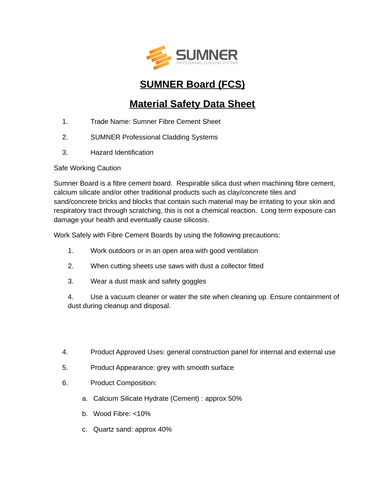

## **SUMNER Board (FCS)**

## **Material Safety Data Sheet**

- 1. Trade Name: Sumner Fibre Cement Sheet
- 2. SUMNER Professional Cladding Systems
- 3. Hazard Identification

Safe Working Caution

Sumner Board is a fibre cement board. Respirable silica dust when machining fibre cement, calcium silicate and/or other traditional products such as clay/concrete tiles and sand/concrete bricks and blocks that contain such material may be irritating to your skin and respiratory tract through scratching, this is not a chemical reaction. Long term exposure can damage your health and eventually cause silicosis.

Work Safely with Fibre Cement Boards by using the following precautions:

- 1. Work outdoors or in an open area with good ventilation
- 2. When cutting sheets use saws with dust a collector fitted
- 3. Wear a dust mask and safety goggles

4. Use a vacuum cleaner or water the site when cleaning up. Ensure containment of dust during cleanup and disposal.

- 4. Product Approved Uses: general construction panel for internal and external use
- 5. Product Appearance: grey with smooth surface
- 6. Product Composition:
	- a. Calcium Silicate Hydrate (Cement) : approx 50%
	- b. Wood Fibre: <10%
	- c. Quartz sand: approx 40%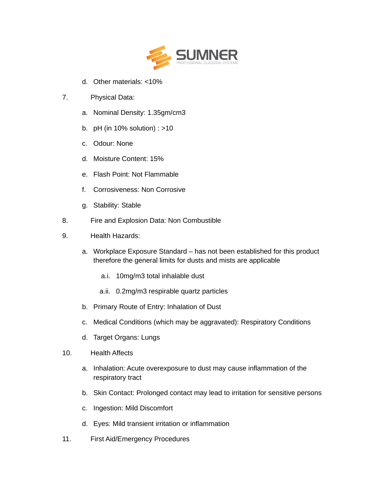

d. Other materials: <10%

## 7. Physical Data:

- a. Nominal Density: 1.35gm/cm3
- b. pH (in 10% solution) : >10
- c. Odour: None
- d. Moisture Content: 15%
- e. Flash Point: Not Flammable
- f. Corrosiveness: Non Corrosive
- g. Stability: Stable
- 8. Fire and Explosion Data: Non Combustible
- 9. Health Hazards:
	- a. Workplace Exposure Standard has not been established for this product therefore the general limits for dusts and mists are applicable
		- a.i. 10mg/m3 total inhalable dust
		- a.ii. 0.2mg/m3 respirable quartz particles
	- b. Primary Route of Entry: Inhalation of Dust
	- c. Medical Conditions (which may be aggravated): Respiratory Conditions
	- d. Target Organs: Lungs
- 10. Health Affects
	- a. Inhalation: Acute overexposure to dust may cause inflammation of the respiratory tract
	- b. Skin Contact: Prolonged contact may lead to irritation for sensitive persons
	- c. Ingestion: Mild Discomfort
	- d. Eyes: Mild transient irritation or inflammation
- 11. First Aid/Emergency Procedures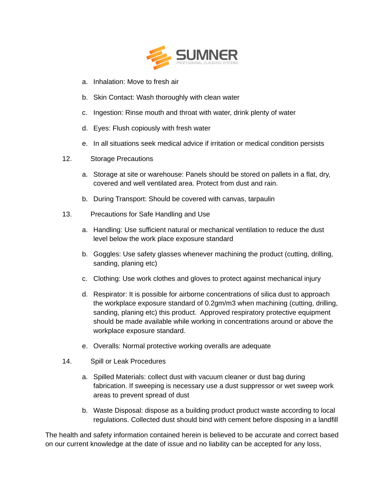

- a. Inhalation: Move to fresh air
- b. Skin Contact: Wash thoroughly with clean water
- c. Ingestion: Rinse mouth and throat with water, drink plenty of water
- d. Eyes: Flush copiously with fresh water
- e. In all situations seek medical advice if irritation or medical condition persists
- 12. Storage Precautions
	- a. Storage at site or warehouse: Panels should be stored on pallets in a flat, dry, covered and well ventilated area. Protect from dust and rain.
	- b. During Transport: Should be covered with canvas, tarpaulin
- 13. Precautions for Safe Handling and Use
	- a. Handling: Use sufficient natural or mechanical ventilation to reduce the dust level below the work place exposure standard
	- b. Goggles: Use safety glasses whenever machining the product (cutting, drilling, sanding, planing etc)
	- c. Clothing: Use work clothes and gloves to protect against mechanical injury
	- d. Respirator: It is possible for airborne concentrations of silica dust to approach the workplace exposure standard of 0.2gm/m3 when machining (cutting, drilling, sanding, planing etc) this product. Approved respiratory protective equipment should be made available while working in concentrations around or above the workplace exposure standard.
	- e. Overalls: Normal protective working overalls are adequate
- 14. Spill or Leak Procedures
	- a. Spilled Materials: collect dust with vacuum cleaner or dust bag during fabrication. If sweeping is necessary use a dust suppressor or wet sweep work areas to prevent spread of dust
	- b. Waste Disposal: dispose as a building product product waste according to local regulations. Collected dust should bind with cement before disposing in a landfill

The health and safety information contained herein is believed to be accurate and correct based on our current knowledge at the date of issue and no liability can be accepted for any loss,